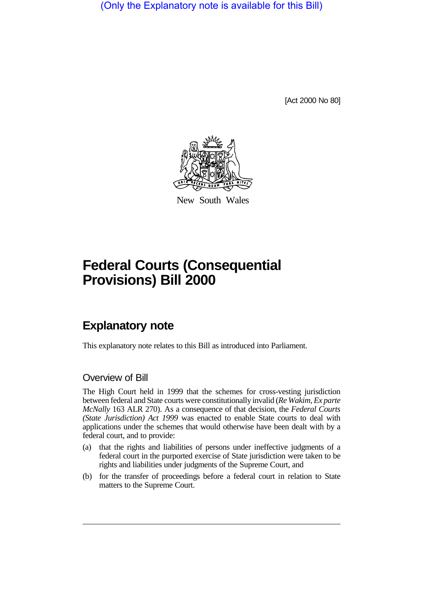(Only the Explanatory note is available for this Bill)

[Act 2000 No 80]



New South Wales

## **Federal Courts (Consequential Provisions) Bill 2000**

## **Explanatory note**

This explanatory note relates to this Bill as introduced into Parliament.

## Overview of Bill

The High Court held in 1999 that the schemes for cross-vesting jurisdiction between federal and State courts were constitutionally invalid (*Re Wakim, Ex parte McNally* 163 ALR 270). As a consequence of that decision, the *Federal Courts (State Jurisdiction) Act 1999* was enacted to enable State courts to deal with applications under the schemes that would otherwise have been dealt with by a federal court, and to provide:

- (a) that the rights and liabilities of persons under ineffective judgments of a federal court in the purported exercise of State jurisdiction were taken to be rights and liabilities under judgments of the Supreme Court, and
- (b) for the transfer of proceedings before a federal court in relation to State matters to the Supreme Court.